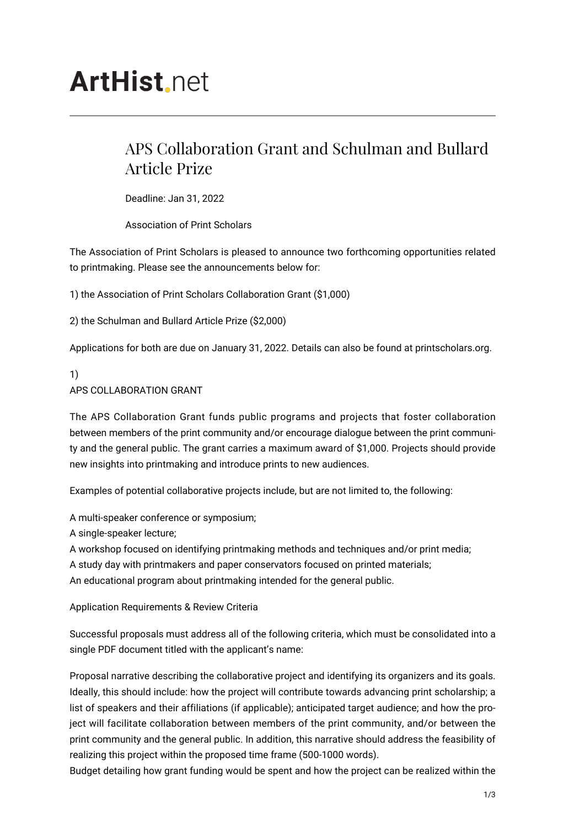# **ArtHist**, net

# APS Collaboration Grant and Schulman and Bullard Article Prize

Deadline: Jan 31, 2022

Association of Print Scholars

The Association of Print Scholars is pleased to announce two forthcoming opportunities related to printmaking. Please see the announcements below for:

1) the Association of Print Scholars Collaboration Grant (\$1,000)

2) the Schulman and Bullard Article Prize (\$2,000)

Applications for both are due on January 31, 2022. Details can also be found at printscholars.org.

## 1) APS COLLABORATION GRANT

The APS Collaboration Grant funds public programs and projects that foster collaboration between members of the print community and/or encourage dialogue between the print community and the general public. The grant carries a maximum award of \$1,000. Projects should provide new insights into printmaking and introduce prints to new audiences.

Examples of potential collaborative projects include, but are not limited to, the following:

A multi-speaker conference or symposium;

A single-speaker lecture;

A workshop focused on identifying printmaking methods and techniques and/or print media; A study day with printmakers and paper conservators focused on printed materials;

An educational program about printmaking intended for the general public.

Application Requirements & Review Criteria

Successful proposals must address all of the following criteria, which must be consolidated into a single PDF document titled with the applicant's name:

Proposal narrative describing the collaborative project and identifying its organizers and its goals. Ideally, this should include: how the project will contribute towards advancing print scholarship; a list of speakers and their affiliations (if applicable); anticipated target audience; and how the project will facilitate collaboration between members of the print community, and/or between the print community and the general public. In addition, this narrative should address the feasibility of realizing this project within the proposed time frame (500-1000 words).

Budget detailing how grant funding would be spent and how the project can be realized within the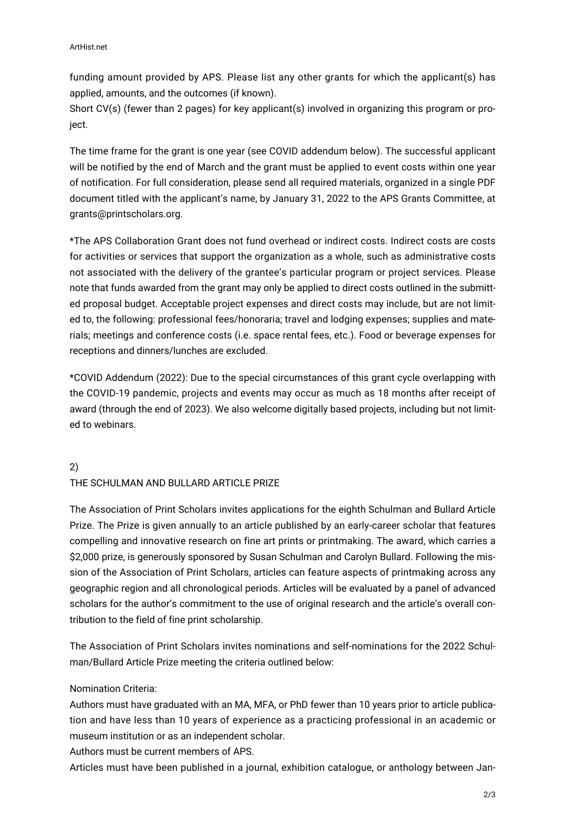funding amount provided by APS. Please list any other grants for which the applicant(s) has applied, amounts, and the outcomes (if known).

Short CV(s) (fewer than 2 pages) for key applicant(s) involved in organizing this program or project.

The time frame for the grant is one year (see COVID addendum below). The successful applicant will be notified by the end of March and the grant must be applied to event costs within one year of notification. For full consideration, please send all required materials, organized in a single PDF document titled with the applicant's name, by January 31, 2022 to the APS Grants Committee, at grants@printscholars.org.

\*The APS Collaboration Grant does not fund overhead or indirect costs. Indirect costs are costs for activities or services that support the organization as a whole, such as administrative costs not associated with the delivery of the grantee's particular program or project services. Please note that funds awarded from the grant may only be applied to direct costs outlined in the submitted proposal budget. Acceptable project expenses and direct costs may include, but are not limited to, the following: professional fees/honoraria; travel and lodging expenses; supplies and materials; meetings and conference costs (i.e. space rental fees, etc.). Food or beverage expenses for receptions and dinners/lunches are excluded.

\*COVID Addendum (2022): Due to the special circumstances of this grant cycle overlapping with the COVID-19 pandemic, projects and events may occur as much as 18 months after receipt of award (through the end of 2023). We also welcome digitally based projects, including but not limited to webinars.

# 2) THE SCHULMAN AND BULLARD ARTICLE PRIZE

The Association of Print Scholars invites applications for the eighth Schulman and Bullard Article Prize. The Prize is given annually to an article published by an early-career scholar that features compelling and innovative research on fine art prints or printmaking. The award, which carries a \$2,000 prize, is generously sponsored by Susan Schulman and Carolyn Bullard. Following the mission of the Association of Print Scholars, articles can feature aspects of printmaking across any geographic region and all chronological periods. Articles will be evaluated by a panel of advanced scholars for the author's commitment to the use of original research and the article's overall contribution to the field of fine print scholarship.

The Association of Print Scholars invites nominations and self-nominations for the 2022 Schulman/Bullard Article Prize meeting the criteria outlined below:

### Nomination Criteria:

Authors must have graduated with an MA, MFA, or PhD fewer than 10 years prior to article publication and have less than 10 years of experience as a practicing professional in an academic or museum institution or as an independent scholar.

Authors must be current members of APS.

Articles must have been published in a journal, exhibition catalogue, or anthology between Jan-